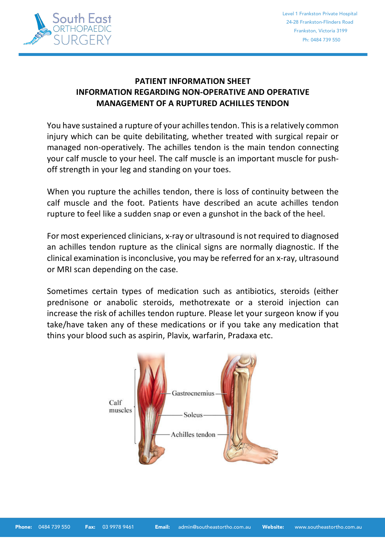

# **PATIENT INFORMATION SHEET INFORMATION REGARDING NON-OPERATIVE AND OPERATIVE MANAGEMENT OF A RUPTURED ACHILLES TENDON**

You have sustained a rupture of your achilles tendon. Thisis a relatively common injury which can be quite debilitating, whether treated with surgical repair or managed non-operatively. The achilles tendon is the main tendon connecting your calf muscle to your heel. The calf muscle is an important muscle for pushoff strength in your leg and standing on your toes.

When you rupture the achilles tendon, there is loss of continuity between the calf muscle and the foot. Patients have described an acute achilles tendon rupture to feel like a sudden snap or even a gunshot in the back of the heel.

For most experienced clinicians, x-ray or ultrasound is not required to diagnosed an achilles tendon rupture as the clinical signs are normally diagnostic. If the clinical examination is inconclusive, you may be referred for an x-ray, ultrasound or MRI scan depending on the case.

Sometimes certain types of medication such as antibiotics, steroids (either prednisone or anabolic steroids, methotrexate or a steroid injection can increase the risk of achilles tendon rupture. Please let your surgeon know if you take/have taken any of these medications or if you take any medication that thins your blood such as aspirin, Plavix, warfarin, Pradaxa etc.

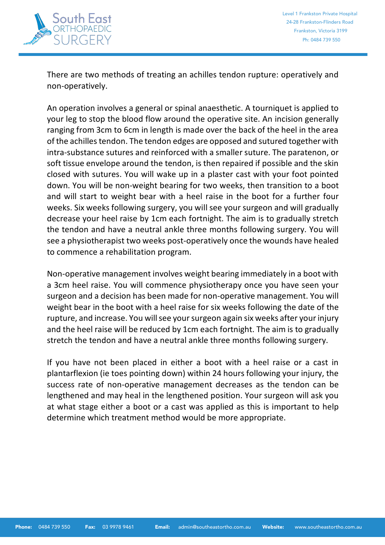

There are two methods of treating an achilles tendon rupture: operatively and non-operatively.

An operation involves a general or spinal anaesthetic. A tourniquet is applied to your leg to stop the blood flow around the operative site. An incision generally ranging from 3cm to 6cm in length is made over the back of the heel in the area of the achilles tendon. The tendon edges are opposed and sutured together with intra-substance sutures and reinforced with a smaller suture. The paratenon, or soft tissue envelope around the tendon, is then repaired if possible and the skin closed with sutures. You will wake up in a plaster cast with your foot pointed down. You will be non-weight bearing for two weeks, then transition to a boot and will start to weight bear with a heel raise in the boot for a further four weeks. Six weeks following surgery, you will see your surgeon and will gradually decrease your heel raise by 1cm each fortnight. The aim is to gradually stretch the tendon and have a neutral ankle three months following surgery. You will see a physiotherapist two weeks post-operatively once the wounds have healed to commence a rehabilitation program.

Non-operative management involves weight bearing immediately in a boot with a 3cm heel raise. You will commence physiotherapy once you have seen your surgeon and a decision has been made for non-operative management. You will weight bear in the boot with a heel raise for six weeks following the date of the rupture, and increase. You will see your surgeon again six weeks after your injury and the heel raise will be reduced by 1cm each fortnight. The aim is to gradually stretch the tendon and have a neutral ankle three months following surgery.

If you have not been placed in either a boot with a heel raise or a cast in plantarflexion (ie toes pointing down) within 24 hours following your injury, the success rate of non-operative management decreases as the tendon can be lengthened and may heal in the lengthened position. Your surgeon will ask you at what stage either a boot or a cast was applied as this is important to help determine which treatment method would be more appropriate.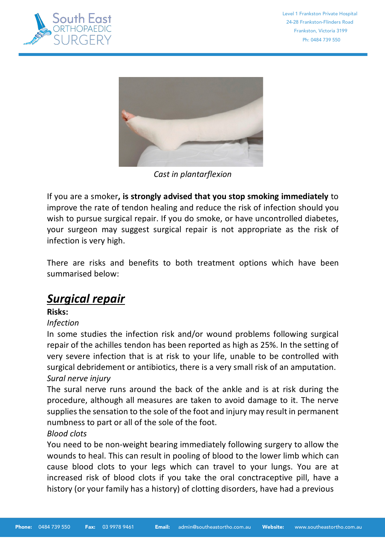



*Cast in plantarflexion*

If you are a smoker**, is strongly advised that you stop smoking immediately** to improve the rate of tendon healing and reduce the risk of infection should you wish to pursue surgical repair. If you do smoke, or have uncontrolled diabetes, your surgeon may suggest surgical repair is not appropriate as the risk of infection is very high.

There are risks and benefits to both treatment options which have been summarised below:

# *Surgical repair*

**Risks:**

# *Infection*

In some studies the infection risk and/or wound problems following surgical repair of the achilles tendon has been reported as high as 25%. In the setting of very severe infection that is at risk to your life, unable to be controlled with surgical debridement or antibiotics, there is a very small risk of an amputation. *Sural nerve injury*

The sural nerve runs around the back of the ankle and is at risk during the procedure, although all measures are taken to avoid damage to it. The nerve supplies the sensation to the sole of the foot and injury may result in permanent numbness to part or all of the sole of the foot.

#### *Blood clots*

You need to be non-weight bearing immediately following surgery to allow the wounds to heal. This can result in pooling of blood to the lower limb which can cause blood clots to your legs which can travel to your lungs. You are at increased risk of blood clots if you take the oral conctraceptive pill, have a history (or your family has a history) of clotting disorders, have had a previous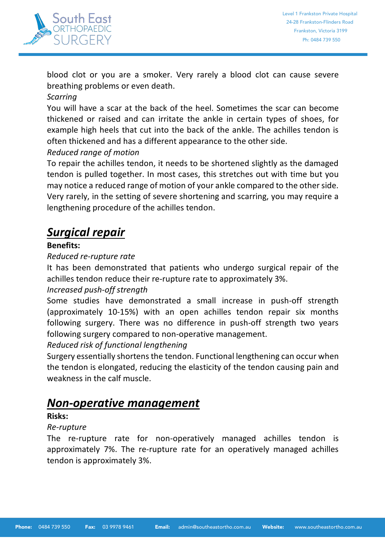

blood clot or you are a smoker. Very rarely a blood clot can cause severe breathing problems or even death.

## *Scarring*

You will have a scar at the back of the heel. Sometimes the scar can become thickened or raised and can irritate the ankle in certain types of shoes, for example high heels that cut into the back of the ankle. The achilles tendon is often thickened and has a different appearance to the other side.

# *Reduced range of motion*

To repair the achilles tendon, it needs to be shortened slightly as the damaged tendon is pulled together. In most cases, this stretches out with time but you may notice a reduced range of motion of your ankle compared to the other side. Very rarely, in the setting of severe shortening and scarring, you may require a lengthening procedure of the achilles tendon.

# *Surgical repair*

# **Benefits:**

### *Reduced re-rupture rate*

It has been demonstrated that patients who undergo surgical repair of the achilles tendon reduce their re-rupture rate to approximately 3%.

# *Increased push-off strength*

Some studies have demonstrated a small increase in push-off strength (approximately 10-15%) with an open achilles tendon repair six months following surgery. There was no difference in push-off strength two years following surgery compared to non-operative management.

### *Reduced risk of functional lengthening*

Surgery essentially shortens the tendon. Functional lengthening can occur when the tendon is elongated, reducing the elasticity of the tendon causing pain and weakness in the calf muscle.

# *Non-operative management*

### **Risks:**

### *Re-rupture*

The re-rupture rate for non-operatively managed achilles tendon is approximately 7%. The re-rupture rate for an operatively managed achilles tendon is approximately 3%.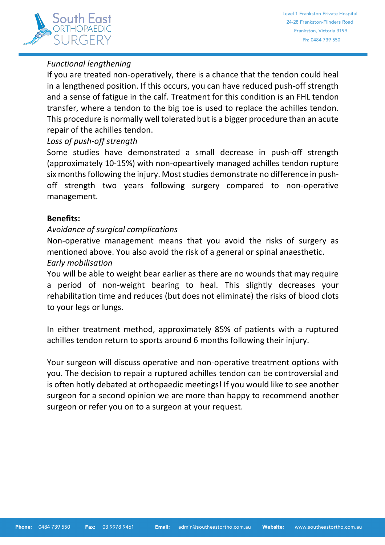

# *Functional lengthening*

If you are treated non-operatively, there is a chance that the tendon could heal in a lengthened position. If this occurs, you can have reduced push-off strength and a sense of fatigue in the calf. Treatment for this condition is an FHL tendon transfer, where a tendon to the big toe is used to replace the achilles tendon. This procedure is normally well tolerated but is a bigger procedure than an acute repair of the achilles tendon.

### *Loss of push-off strength*

Some studies have demonstrated a small decrease in push-off strength (approximately 10-15%) with non-opeartively managed achilles tendon rupture six months following the injury. Most studies demonstrate no difference in pushoff strength two years following surgery compared to non-operative management.

### **Benefits:**

### *Avoidance of surgical complications*

Non-operative management means that you avoid the risks of surgery as mentioned above. You also avoid the risk of a general or spinal anaesthetic. *Early mobilisation*

You will be able to weight bear earlier as there are no wounds that may require a period of non-weight bearing to heal. This slightly decreases your rehabilitation time and reduces (but does not eliminate) the risks of blood clots to your legs or lungs.

In either treatment method, approximately 85% of patients with a ruptured achilles tendon return to sports around 6 months following their injury.

Your surgeon will discuss operative and non-operative treatment options with you. The decision to repair a ruptured achilles tendon can be controversial and is often hotly debated at orthopaedic meetings! If you would like to see another surgeon for a second opinion we are more than happy to recommend another surgeon or refer you on to a surgeon at your request.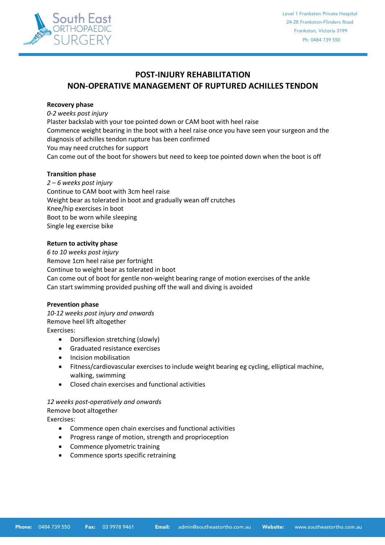

### **POST-INJURY REHABILITATION NON-OPERATIVE MANAGEMENT OF RUPTURED ACHILLES TENDON**

#### **Recovery phase**

*0-2 weeks post injury* Plaster backslab with your toe pointed down or CAM boot with heel raise Commence weight bearing in the boot with a heel raise once you have seen your surgeon and the diagnosis of achilles tendon rupture has been confirmed You may need crutches for support Can come out of the boot for showers but need to keep toe pointed down when the boot is off

#### **Transition phase**

*2 – 6 weeks post injury* Continue to CAM boot with 3cm heel raise Weight bear as tolerated in boot and gradually wean off crutches Knee/hip exercises in boot Boot to be worn while sleeping Single leg exercise bike

#### **Return to activity phase**

*6 to 10 weeks post injury* Remove 1cm heel raise per fortnight Continue to weight bear as tolerated in boot Can come out of boot for gentle non-weight bearing range of motion exercises of the ankle Can start swimming provided pushing off the wall and diving is avoided

#### **Prevention phase**

*10-12 weeks post injury and onwards* Remove heel lift altogether Exercises:

- Dorsiflexion stretching (slowly)
- Graduated resistance exercises
- Incision mobilisation
- Fitness/cardiovascular exercises to include weight bearing eg cycling, elliptical machine, walking, swimming
- Closed chain exercises and functional activities

#### *12 weeks post-operatively and onwards*

Remove boot altogether

Exercises:

- Commence open chain exercises and functional activities
- Progress range of motion, strength and proprioception
- Commence plyometric training
- Commence sports specific retraining